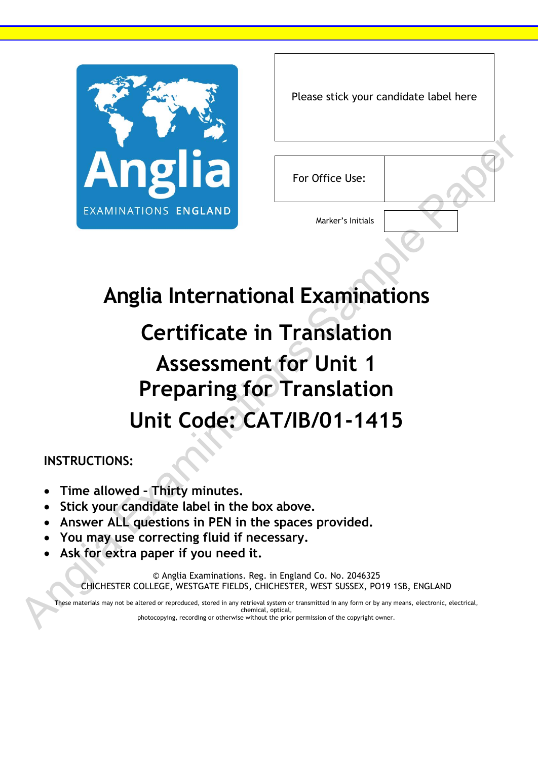

| Please stick your candidate label here |  |
|----------------------------------------|--|
|----------------------------------------|--|

For Office Use:

Marker's Initials

## **Anglia International Examinations**

## **Certificate in Translation Assessment for Unit 1 Preparing for Translation Unit Code: CAT/IB/01-1415** Examinations Sample Paper

## **INSTRUCTIONS:**

- **Time allowed – Thirty minutes.**
- **Stick your candidate label in the box above.**
- **Answer ALL questions in PEN in the spaces provided.**
- **You may use correcting fluid if necessary.**
- **Ask for extra paper if you need it.**

© Anglia Examinations. Reg. in England Co. No. 2046325 CHICHESTER COLLEGE, WESTGATE FIELDS, CHICHESTER, WEST SUSSEX, PO19 1SB, ENGLAND

These materials may not be altered or reproduced, stored in any retrieval system or transmitted in any form or by any means, electronic, electrical, chemical, optical, • You may use<br>• Ask for extra<br>CHICHESTER C<br>These materials may not be photocopying, recording or otherwise without the prior permission of the copyright owner.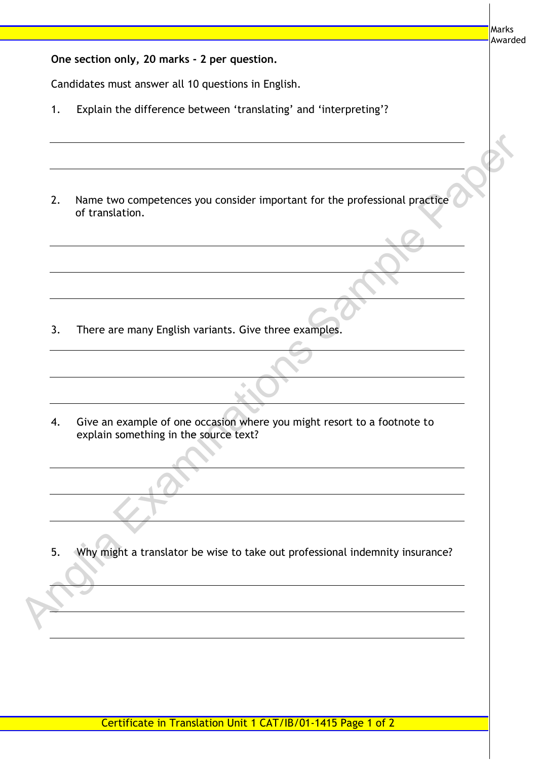Marks Awarded

| One section only, 20 marks - 2 per question. |  |  |  |  |  |  |
|----------------------------------------------|--|--|--|--|--|--|
|----------------------------------------------|--|--|--|--|--|--|

Candidates must answer all 10 questions in English.

- 1. Explain the difference between 'translating' and 'interpreting'?
- 2. Name two competences you consider important for the professional practice of translation. Analysis of translation.<br>
Analysis of translation.<br>
Analysis of translations Sample of one occasion where you might resort to a footnote to<br>
Analysis of translations of one occasion where you might resort to a footnote to<br>
	- 3. There are many English variants. Give three examples.

4. Give an example of one occasion where you might resort to a footnote to explain something in the source text?

5. Why might a translator be wise to take out professional indemnity insurance?